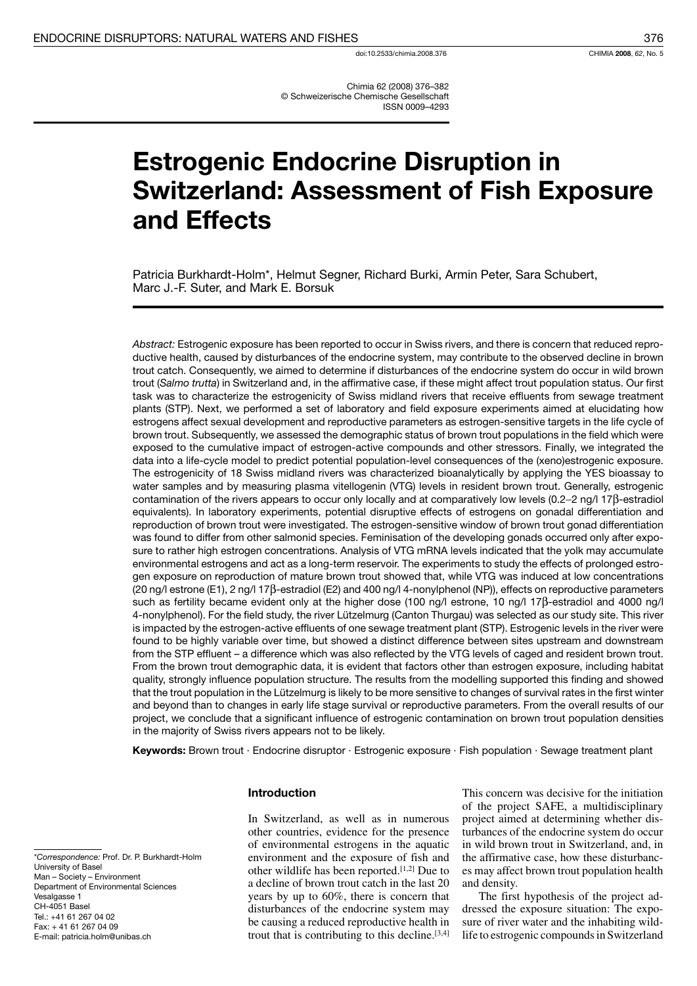# **Estrogenic Endocrine Disruption in Switzerland: Assessment of Fish Exposure** and Effects

Patricia Burkhardt-Holm\*, Helmut Segner, Richard Burki, Armin Peter, Sara Schubert, Marc J.-F. Suter, and Mark E. Borsuk

Abstract: Estrogenic exposure has been reported to occur in Swiss rivers, and there is concern that reduced reproductive health, caused by disturbances of the endocrine system, may contribute to the observed decline in brown trout catch. Consequently, we aimed to determine if disturbances of the endocrine system do occur in wild brown trout (Salmo trutta) in Switzerland and, in the affirmative case, if these might affect trout population status. Our first task was to characterize the estrogenicity of Swiss midland rivers that receive effluents from sewage treatment plants (STP). Next, we performed a set of laboratory and field exposure experiments aimed at elucidating how estrogens affect sexual development and reproductive parameters as estrogen-sensitive targets in the life cycle of brown trout. Subsequently, we assessed the demographic status of brown trout populations in the field which were exposed to the cumulative impact of estrogen-active compounds and other stressors. Finally, we integrated the data into a life-cycle model to predict potential population-level consequences of the (xeno)estrogenic exposure. The estrogenicity of 18 Swiss midland rivers was characterized bioanalytically by applying the YES bioassay to water samples and by measuring plasma vitellogenin (VTG) levels in resident brown trout. Generally, estrogenic contamination of the rivers appears to occur only locally and at comparatively low levels (0.2–2 ng/l 17 $\beta$ -estradiol equivalents). In laboratory experiments, potential disruptive effects of estrogens on gonadal differentiation and reproduction of brown trout were investigated. The estrogen-sensitive window of brown trout gonad differentiation was found to differ from other salmonid species. Feminisation of the developing gonads occurred only after exposure to rather high estrogen concentrations. Analysis of VTG mRNA levels indicated that the yolk may accumulate environmental estrogens and act as a long-term reservoir. The experiments to study the effects of prolonged estrogen exposure on reproduction of mature brown trout showed that, while VTG was induced at low concentrations (20 ng/l estrone (E1), 2 ng/l 17|3-estradiol (E2) and 400 ng/l 4-nonylphenol (NP)), effects on reproductive parameters such as fertility became evident only at the higher dose (100 ng/l estrone, 10 ng/l 17β-estradiol and 4000 ng/l 4-nonylphenol). For the field study, the river Lützelmurg (Canton Thurgau) was selected as our study site. This river is impacted by the estrogen-active effluents of one sewage treatment plant (STP). Estrogenic levels in the river were found to be highly variable over time, but showed a distinct difference between sites upstream and downstream from the STP effluent - a difference which was also reflected by the VTG levels of caged and resident brown trout. From the brown trout demographic data, it is evident that factors other than estrogen exposure, including habitat quality, strongly influence population structure. The results from the modelling supported this finding and showed that the trout population in the Lützelmurg is likely to be more sensitive to changes of survival rates in the first winter and beyond than to changes in early life stage survival or reproductive parameters. From the overall results of our project, we conclude that a significant influence of estrogenic contamination on brown trout population densities in the majority of Swiss rivers appears not to be likely.

Keywords: Brown trout · Endocrine disruptor · Estrogenic exposure · Fish population · Sewage treatment plant

#### **Introduction**

In Switzerland, as well as in numerous other countries, evidence for the presence of environmental estrogens in the aquatic environment and the exposure of fish and other wildlife has been reported.[1,2] Due to a decline of brown trout catch in the last 20 years by up to  $60\%$ , there is concern that disturbances of the endocrine system may be causing a reduced reproductive health in trout that is contributing to this decline.  $[3,4]$ 

This concern was decisive for the initiation of the project SAFE, a multidisciplinary project aimed at determining whether disturbances of the endocrine system do occur in wild brown trout in Switzerland, and, in the affirmative case, how these disturbances may affect brown trout population health and density.

The first hypothesis of the project addressed the exposure situation: The exposure of river water and the inhabiting wildlife to estrogenic compounds in Switzerland

\*Correspondence: Prof. Dr. P. Burkhardt-Holm University of Basel Man - Society - Environment Department of Environmental Sciences Vesalgasse 1 CH-4051 Basel Tel.: +41 61 267 04 02 Fax: +41 61 267 04 09 E-mail: patricia.holm@unibas.ch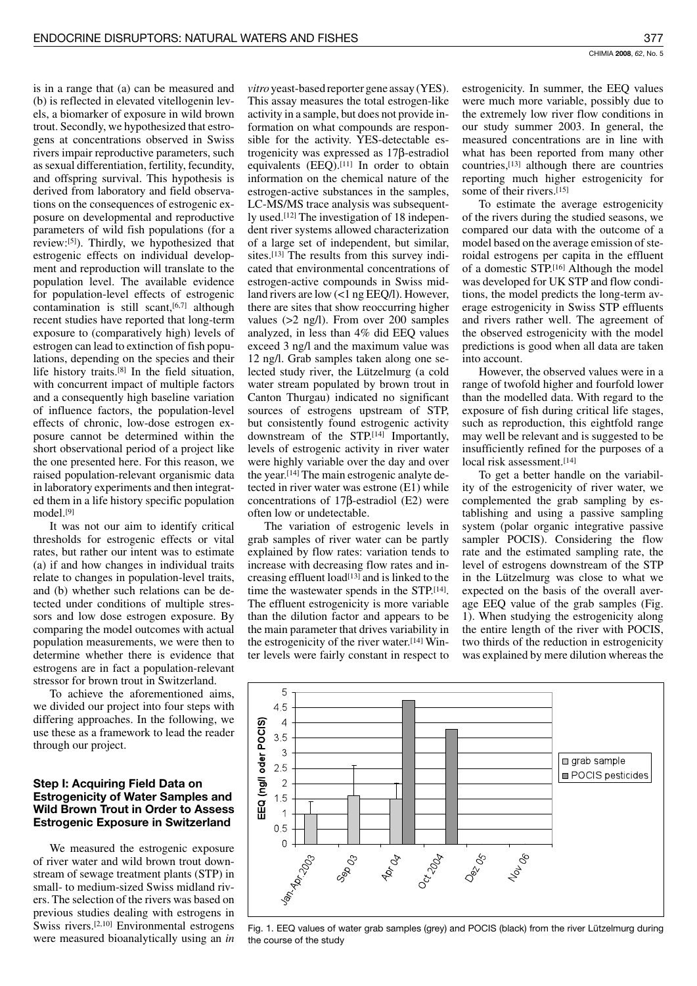is in a range that (a) can be measured and (b) is reflected in elevated vitellogenin levels, a biomarker of exposure in wild brown trout. Secondly, we hypothesized that estrogens at concentrations observed in Swiss rivers impair reproductive parameters, such as sexual differentiation, fertility, fecundity, and offspring survival. This hypothesis is derived from laboratory and field observations on the consequences of estrogenic exposure on developmental and reproductive parameters of wild fish populations (for a review:[5]). Thirdly, we hypothesized that estrogenic effects on individual development and reproduction will translate to the population level. The available evidence for population-level effects of estrogenic contamination is still scant, [6,7] although recent studies have reported that long-term exposure to (comparatively high) levels of estrogen can lead to extinction of fish populations, depending on the species and their life history traits.<sup>[8]</sup> In the field situation, with concurrent impact of multiple factors and a consequently high baseline variation of influence factors, the population-level effects of chronic, low-dose estrogen exposure cannot be determined within the short observational period of a project like the one presented here. For this reason, we raised population-relevant organismic data in laboratory experiments and then integrated them in a life history specific population model.<sup>[9]</sup>

It was not our aim to identify critical thresholds for estrogenic effects or vital rates, but rather our intent was to estimate (a) if and how changes in individual traits relate to changes in population-level traits, and (b) whether such relations can be detected under conditions of multiple stressors and low dose estrogen exposure. By comparing the model outcomes with actual population measurements, we were then to determine whether there is evidence that estrogens are in fact a population-relevant stressor for brown trout in Switzerland.

To achieve the aforementioned aims, we divided our project into four steps with differing approaches. In the following, we use these as a framework to lead the reader through our project.

# Step I: Acquiring Field Data on **Estrogenicity of Water Samples and Wild Brown Trout in Order to Assess Estrogenic Exposure in Switzerland**

We measured the estrogenic exposure. of river water and wild brown trout downstream of sewage treatment plants (STP) in small- to medium-sized Swiss midland rivers. The selection of the rivers was based on previous studies dealing with estrogens in Swiss rivers.<sup>[2,10]</sup> Environmental estrogens were measured bioanalytically using an in

vitro yeast-based reporter gene assay (YES). This assay measures the total estrogen-like activity in a sample, but does not provide information on what compounds are responsible for the activity. YES-detectable estrogenicity was expressed as  $17\beta$ -estradiol equivalents (EEO).<sup>[11]</sup> In order to obtain information on the chemical nature of the estrogen-active substances in the samples, LC-MS/MS trace analysis was subsequently used.<sup>[12]</sup> The investigation of 18 independent river systems allowed characterization of a large set of independent, but similar, sites.<sup>[13]</sup> The results from this survey indicated that environmental concentrations of estrogen-active compounds in Swiss midland rivers are low  $\left($ <1 ng EEQ $\right)$ . However, there are sites that show reoccurring higher values (>2 ng/l). From over 200 samples analyzed, in less than 4% did EEQ values exceed 3 ng/l and the maximum value was 12 ng/l. Grab samples taken along one selected study river, the Lützelmurg (a cold water stream populated by brown trout in Canton Thurgau) indicated no significant sources of estrogens upstream of STP, but consistently found estrogenic activity downstream of the STP.[14] Importantly, levels of estrogenic activity in river water were highly variable over the day and over the year.<sup>[14]</sup> The main estrogenic analyte detected in river water was estrone (E1) while concentrations of  $17\beta$ -estradiol (E2) were often low or undetectable.

The variation of estrogenic levels in grab samples of river water can be partly explained by flow rates: variation tends to increase with decreasing flow rates and increasing effluent load<sup>[13]</sup> and is linked to the time the wastewater spends in the STP.[14]. The effluent estrogenicity is more variable. than the dilution factor and appears to be the main parameter that drives variability in the estrogenicity of the river water.<sup>[14]</sup> Winter levels were fairly constant in respect to

estrogenicity. In summer, the EEQ values were much more variable, possibly due to the extremely low river flow conditions in our study summer 2003. In general, the measured concentrations are in line with what has been reported from many other countries,<sup>[13]</sup> although there are countries reporting much higher estrogenicity for some of their rivers.[15]

To estimate the average estrogenicity of the rivers during the studied seasons, we compared our data with the outcome of a model based on the average emission of steroidal estrogens per capita in the effluent of a domestic STP.[16] Although the model was developed for UK STP and flow conditions, the model predicts the long-term average estrogenicity in Swiss STP effluents and rivers rather well. The agreement of the observed estrogenicity with the model predictions is good when all data are taken into account.

However, the observed values were in a range of twofold higher and fourfold lower than the modelled data. With regard to the exposure of fish during critical life stages, such as reproduction, this eightfold range may well be relevant and is suggested to be insufficiently refined for the purposes of a local risk assessment.[14]

To get a better handle on the variability of the estrogenicity of river water, we complemented the grab sampling by establishing and using a passive sampling system (polar organic integrative passive sampler POCIS). Considering the flow rate and the estimated sampling rate, the level of estrogens downstream of the STP in the Lützelmurg was close to what we expected on the basis of the overall average EEQ value of the grab samples (Fig. 1). When studying the estrogenicity along the entire length of the river with POCIS, two thirds of the reduction in estrogenicity was explained by mere dilution whereas the



Fig. 1. EEQ values of water grab samples (grey) and POCIS (black) from the river Lützelmurg during the course of the study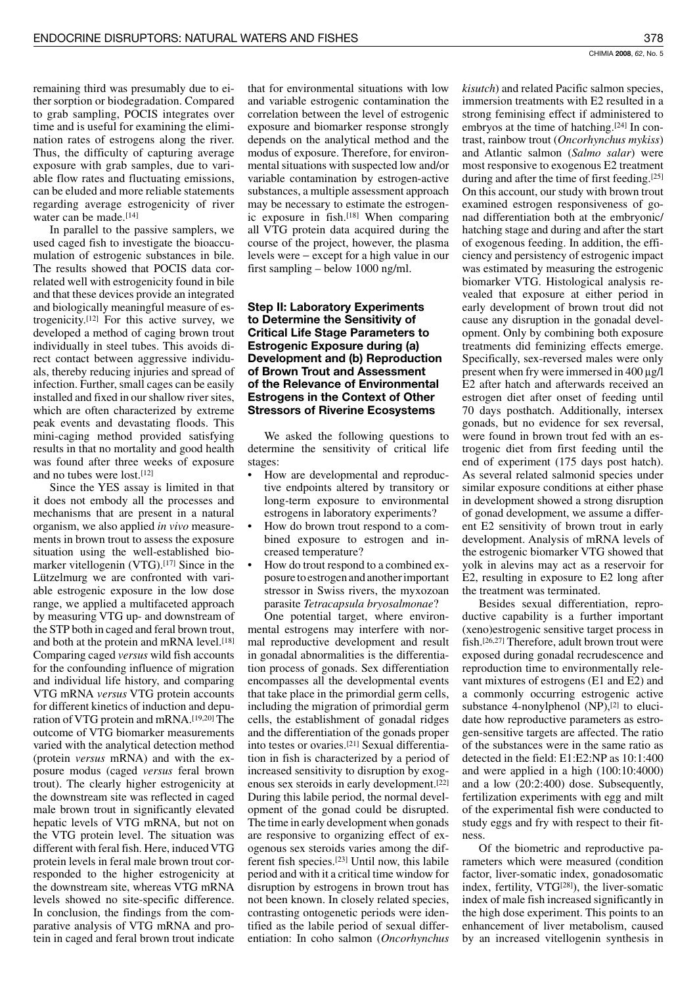remaining third was presumably due to either sorption or biodegradation. Compared to grab sampling, POCIS integrates over time and is useful for examining the elimination rates of estrogens along the river. Thus, the difficulty of capturing average exposure with grab samples, due to variable flow rates and fluctuating emissions, can be eluded and more reliable statements regarding average estrogenicity of river water can be made.<sup>[14]</sup>

In parallel to the passive samplers, we used caged fish to investigate the bioaccumulation of estrogenic substances in bile. The results showed that POCIS data correlated well with estrogenicity found in bile and that these devices provide an integrated and biologically meaningful measure of estrogenicity.[12] For this active survey, we developed a method of caging brown trout individually in steel tubes. This avoids direct contact between aggressive individuals, thereby reducing injuries and spread of infection. Further, small cages can be easily installed and fixed in our shallow river sites, which are often characterized by extreme peak events and devastating floods. This mini-caging method provided satisfying results in that no mortality and good health was found after three weeks of exposure and no tubes were lost.[12]

Since the YES assay is limited in that it does not embody all the processes and mechanisms that are present in a natural organism, we also applied in vivo measurements in brown trout to assess the exposure situation using the well-established biomarker vitellogenin (VTG).<sup>[17]</sup> Since in the Lützelmurg we are confronted with variable estrogenic exposure in the low dose range, we applied a multifaceted approach by measuring VTG up- and downstream of the STP both in caged and feral brown trout, and both at the protein and mRNA level.[18] Comparing caged versus wild fish accounts for the confounding influence of migration and individual life history, and comparing VTG mRNA versus VTG protein accounts for different kinetics of induction and depuration of VTG protein and mRNA.[19,20] The outcome of VTG biomarker measurements varied with the analytical detection method (protein *versus* mRNA) and with the exposure modus (caged versus feral brown trout). The clearly higher estrogenicity at the downstream site was reflected in caged male brown trout in significantly elevated hepatic levels of VTG mRNA, but not on the VTG protein level. The situation was different with feral fish. Here, induced VTG protein levels in feral male brown trout corresponded to the higher estrogenicity at the downstream site, whereas VTG mRNA levels showed no site-specific difference. In conclusion, the findings from the comparative analysis of VTG mRNA and protein in caged and feral brown trout indicate

that for environmental situations with low and variable estrogenic contamination the correlation between the level of estrogenic exposure and biomarker response strongly depends on the analytical method and the modus of exposure. Therefore, for environmental situations with suspected low and/or variable contamination by estrogen-active substances, a multiple assessment approach may be necessary to estimate the estrogenic exposure in fish.<sup>[18]</sup> When comparing all VTG protein data acquired during the course of the project, however, the plasma levels were – except for a high value in our first sampling – below 1000 ng/ml.

### **Step II: Laboratory Experiments** to Determine the Sensitivity of **Critical Life Stage Parameters to Estrogenic Exposure during (a)** Development and (b) Reproduction of Brown Trout and Assessment of the Relevance of Environmental **Estrogens in the Context of Other Stressors of Riverine Ecosystems**

We asked the following questions to determine the sensitivity of critical life stages:

- How are developmental and reproductive endpoints altered by transitory or long-term exposure to environmental estrogens in laboratory experiments?
- How do brown trout respond to a combined exposure to estrogen and increased temperature?
- How do trout respond to a combined exposure to estrogen and another important stressor in Swiss rivers, the myxozoan parasite Tetracapsula bryosalmonae?

One potential target, where environmental estrogens may interfere with normal reproductive development and result in gonadal abnormalities is the differentiation process of gonads. Sex differentiation encompasses all the developmental events that take place in the primordial germ cells, including the migration of primordial germ cells, the establishment of gonadal ridges and the differentiation of the gonads proper into testes or ovaries.<sup>[21]</sup> Sexual differentiation in fish is characterized by a period of increased sensitivity to disruption by exogenous sex steroids in early development.<sup>[22]</sup> During this labile period, the normal development of the gonad could be disrupted. The time in early development when gonads are responsive to organizing effect of exogenous sex steroids varies among the different fish species.<sup>[23]</sup> Until now, this labile period and with it a critical time window for disruption by estrogens in brown trout has not been known. In closely related species, contrasting ontogenetic periods were identified as the labile period of sexual differentiation: In coho salmon (Oncorhynchus

kisutch) and related Pacific salmon species, immersion treatments with E2 resulted in a strong feminising effect if administered to embryos at the time of hatching.<sup>[24]</sup> In contrast, rainbow trout (Oncorhynchus mykiss) and Atlantic salmon (Salmo salar) were most responsive to exogenous E2 treatment during and after the time of first feeding.<sup>[25]</sup> On this account, our study with brown trout examined estrogen responsiveness of gonad differentiation both at the embryonic/ hatching stage and during and after the start of exogenous feeding. In addition, the efficiency and persistency of estrogenic impact was estimated by measuring the estrogenic biomarker VTG. Histological analysis revealed that exposure at either period in early development of brown trout did not cause any disruption in the gonadal development. Only by combining both exposure treatments did feminizing effects emerge. Specifically, sex-reversed males were only present when fry were immersed in 400 µg/l E2 after hatch and afterwards received an estrogen diet after onset of feeding until 70 days posthatch. Additionally, intersex gonads, but no evidence for sex reversal, were found in brown trout fed with an estrogenic diet from first feeding until the end of experiment (175 days post hatch). As several related salmonid species under similar exposure conditions at either phase in development showed a strong disruption of gonad development, we assume a different E2 sensitivity of brown trout in early development. Analysis of mRNA levels of the estrogenic biomarker VTG showed that yolk in alevins may act as a reservoir for E2, resulting in exposure to E2 long after the treatment was terminated.

Besides sexual differentiation, reproductive capability is a further important (xeno)estrogenic sensitive target process in  $fish$ . [26,27] Therefore, adult brown trout were exposed during gonadal recrudescence and reproduction time to environmentally relevant mixtures of estrogens (E1 and E2) and a commonly occurring estrogenic active substance 4-nonylphenol  $(NP),$ <sup>[2]</sup> to elucidate how reproductive parameters as estrogen-sensitive targets are affected. The ratio of the substances were in the same ratio as detected in the field: E1:E2:NP as 10:1:400 and were applied in a high (100:10:4000) and a low (20:2:400) dose. Subsequently, fertilization experiments with egg and milt of the experimental fish were conducted to study eggs and fry with respect to their fitness.

Of the biometric and reproductive parameters which were measured (condition factor, liver-somatic index, gonadosomatic index, fertility, VTG<sup>[28]</sup>), the liver-somatic index of male fish increased significantly in the high dose experiment. This points to an enhancement of liver metabolism, caused by an increased vitellogenin synthesis in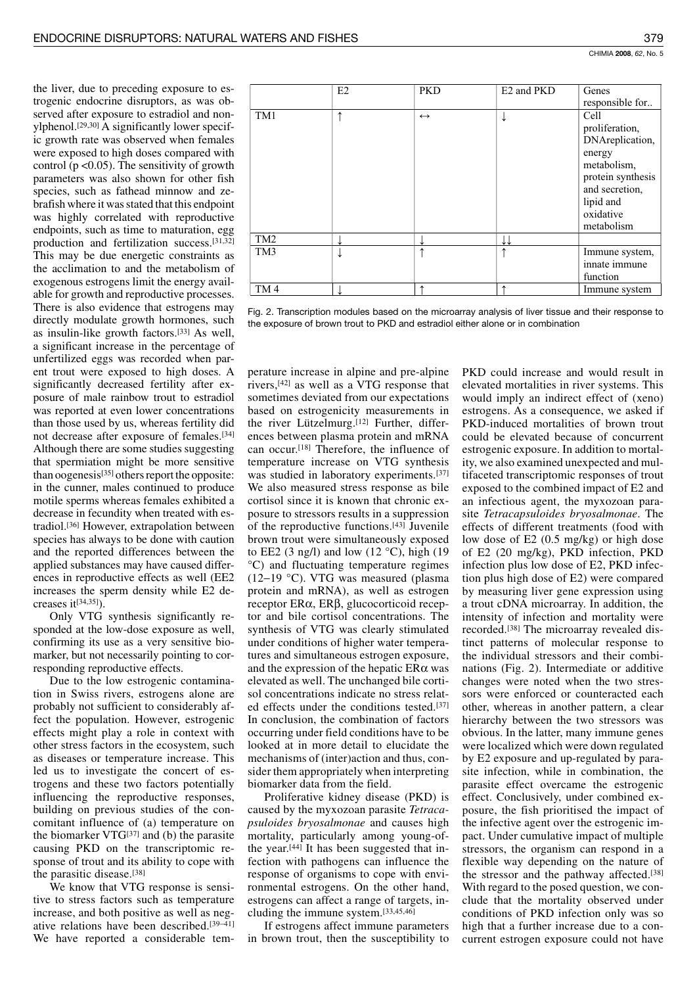379

the liver, due to preceding exposure to estrogenic endocrine disruptors, as was observed after exposure to estradiol and nonylphenol.<sup>[29,30]</sup> A significantly lower specific growth rate was observed when females were exposed to high doses compared with control ( $p < 0.05$ ). The sensitivity of growth parameters was also shown for other fish species, such as fathead minnow and zebrafish where it was stated that this endpoint was highly correlated with reproductive endpoints, such as time to maturation, egg production and fertilization success.[31,32] This may be due energetic constraints as the acclimation to and the metabolism of exogenous estrogens limit the energy available for growth and reproductive processes. There is also evidence that estrogens may directly modulate growth hormones, such as insulin-like growth factors.<sup>[33]</sup> As well, a significant increase in the percentage of unfertilized eggs was recorded when parent trout were exposed to high doses. A significantly decreased fertility after exposure of male rainbow trout to estradiol was reported at even lower concentrations than those used by us, whereas fertility did not decrease after exposure of females.<sup>[34]</sup> Although there are some studies suggesting that spermiation might be more sensitive than oogenesis<sup>[35]</sup> others report the opposite: in the cunner, males continued to produce motile sperms whereas females exhibited a decrease in fecundity when treated with estradiol.<sup>[36]</sup> However, extrapolation between species has always to be done with caution and the reported differences between the applied substances may have caused differences in reproductive effects as well (EE2) increases the sperm density while E2 decreases it[ $34,35$ ]).

Only VTG synthesis significantly responded at the low-dose exposure as well, confirming its use as a very sensitive biomarker, but not necessarily pointing to corresponding reproductive effects.

Due to the low estrogenic contamination in Swiss rivers, estrogens alone are probably not sufficient to considerably affect the population. However, estrogenic effects might play a role in context with other stress factors in the ecosystem, such as diseases or temperature increase. This led us to investigate the concert of estrogens and these two factors potentially influencing the reproductive responses, building on previous studies of the concomitant influence of (a) temperature on the biomarker VTG<sup>[37]</sup> and (b) the parasite causing PKD on the transcriptomic response of trout and its ability to cope with the parasitic disease.<sup>[38]</sup>

We know that VTG response is sensitive to stress factors such as temperature increase, and both positive as well as negative relations have been described.[39-41] We have reported a considerable tem-

|                 | E2 | <b>PKD</b>        | E2 and PKD | Genes                                                                                                                                             |
|-----------------|----|-------------------|------------|---------------------------------------------------------------------------------------------------------------------------------------------------|
|                 |    |                   |            | responsible for                                                                                                                                   |
| TM1             | ↑  | $\leftrightarrow$ |            | Cell<br>proliferation,<br>DNAreplication,<br>energy<br>metabolism,<br>protein synthesis<br>and secretion,<br>lipid and<br>oxidative<br>metabolism |
| TM <sub>2</sub> |    |                   | ↓↓         |                                                                                                                                                   |
| TM <sub>3</sub> | ↓  |                   |            | Immune system,<br>innate immune<br>function                                                                                                       |
| TM4             |    |                   |            | Immune system                                                                                                                                     |

Fig. 2. Transcription modules based on the microarray analysis of liver tissue and their response to the exposure of brown trout to PKD and estradiol either alone or in combination

perature increase in alpine and pre-alpine rivers, [42] as well as a VTG response that sometimes deviated from our expectations based on estrogenicity measurements in the river Lützelmurg.[12] Further, differences between plasma protein and mRNA can occur.<sup>[18]</sup> Therefore, the influence of temperature increase on VTG synthesis was studied in laboratory experiments.<sup>[37]</sup> We also measured stress response as bile cortisol since it is known that chronic exposure to stressors results in a suppression of the reproductive functions.<sup>[43]</sup> Juvenile brown trout were simultaneously exposed to EE2 (3 ng/l) and low (12  $\degree$ C), high (19 <sup>o</sup>C) and fluctuating temperature regimes  $(12-19 \degree C)$ . VTG was measured (plasma protein and mRNA), as well as estrogen receptor  $ER\alpha$ ,  $ER\beta$ , glucocorticoid receptor and bile cortisol concentrations. The synthesis of VTG was clearly stimulated under conditions of higher water temperatures and simultaneous estrogen exposure, and the expression of the hepatic  $ER\alpha$  was elevated as well. The unchanged bile cortisol concentrations indicate no stress related effects under the conditions tested.[37] In conclusion, the combination of factors occurring under field conditions have to be looked at in more detail to elucidate the mechanisms of (inter)action and thus, consider them appropriately when interpreting biomarker data from the field.

Proliferative kidney disease (PKD) is caused by the myxozoan parasite Tetracapsuloides bryosalmonae and causes high mortality, particularly among young-ofthe year.<sup>[44]</sup> It has been suggested that infection with pathogens can influence the response of organisms to cope with environmental estrogens. On the other hand, estrogens can affect a range of targets, including the immune system.[33,45,46]

If estrogens affect immune parameters in brown trout, then the susceptibility to PKD could increase and would result in elevated mortalities in river systems. This would imply an indirect effect of (xeno) estrogens. As a consequence, we asked if PKD-induced mortalities of brown trout could be elevated because of concurrent estrogenic exposure. In addition to mortality, we also examined unexpected and multifaceted transcriptomic responses of trout exposed to the combined impact of E2 and an infectious agent, the myxozoan parasite Tetracapsuloides bryosalmonae. The effects of different treatments (food with low dose of  $E2$  (0.5 mg/kg) or high dose of E2 (20 mg/kg), PKD infection, PKD infection plus low dose of E2, PKD infection plus high dose of E2) were compared by measuring liver gene expression using a trout cDNA microarray. In addition, the intensity of infection and mortality were recorded.<sup>[38]</sup> The microarray revealed distinct patterns of molecular response to the individual stressors and their combinations (Fig. 2). Intermediate or additive changes were noted when the two stressors were enforced or counteracted each other, whereas in another pattern, a clear hierarchy between the two stressors was obvious. In the latter, many immune genes were localized which were down regulated by E2 exposure and up-regulated by parasite infection, while in combination, the parasite effect overcame the estrogenic effect. Conclusively, under combined exposure, the fish prioritised the impact of the infective agent over the estrogenic impact. Under cumulative impact of multiple stressors, the organism can respond in a flexible way depending on the nature of the stressor and the pathway affected.<sup>[38]</sup> With regard to the posed question, we conclude that the mortality observed under conditions of PKD infection only was so high that a further increase due to a concurrent estrogen exposure could not have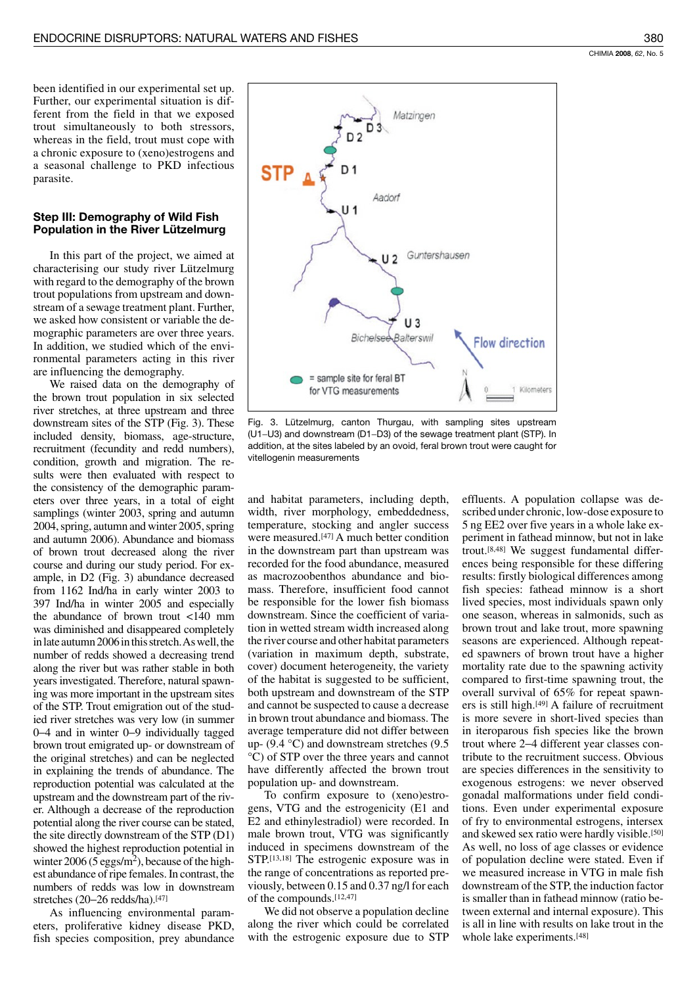been identified in our experimental set up. Further, our experimental situation is different from the field in that we exposed trout simultaneously to both stressors, whereas in the field, trout must cope with a chronic exposure to (xeno)estrogens and a seasonal challenge to PKD infectious parasite.

#### Step III: Demography of Wild Fish Population in the River Lützelmurg

In this part of the project, we aimed at characterising our study river Lützelmurg with regard to the demography of the brown trout populations from upstream and downstream of a sewage treatment plant. Further, we asked how consistent or variable the demographic parameters are over three years. In addition, we studied which of the environmental parameters acting in this river are influencing the demography.

We raised data on the demography of the brown trout population in six selected river stretches, at three upstream and three downstream sites of the STP (Fig. 3). These included density, biomass, age-structure, recruitment (fecundity and redd numbers), condition, growth and migration. The results were then evaluated with respect to the consistency of the demographic parameters over three years, in a total of eight samplings (winter 2003, spring and autumn 2004, spring, autumn and winter 2005, spring and autumn 2006). Abundance and biomass of brown trout decreased along the river course and during our study period. For example, in D2 (Fig. 3) abundance decreased from 1162 Ind/ha in early winter 2003 to 397 Ind/ha in winter 2005 and especially the abundance of brown trout <140 mm was diminished and disappeared completely in late autumn 2006 in this stretch. As well, the number of redds showed a decreasing trend along the river but was rather stable in both years investigated. Therefore, natural spawning was more important in the upstream sites of the STP. Trout emigration out of the studied river stretches was very low (in summer  $0-4$  and in winter  $0-9$  individually tagged brown trout emigrated up- or downstream of the original stretches) and can be neglected in explaining the trends of abundance. The reproduction potential was calculated at the upstream and the downstream part of the river. Although a decrease of the reproduction potential along the river course can be stated, the site directly downstream of the STP (D1) showed the highest reproduction potential in winter  $2006$  (5 eggs/m<sup>2</sup>), because of the highest abundance of ripe females. In contrast, the numbers of redds was low in downstream stretches (20-26 redds/ha).<sup>[47]</sup>

As influencing environmental parameters, proliferative kidney disease PKD, fish species composition, prey abundance



Fig. 3. Lützelmurg, canton Thurgau, with sampling sites upstream (U1-U3) and downstream (D1-D3) of the sewage treatment plant (STP). In addition, at the sites labeled by an ovoid, feral brown trout were caught for vitellogenin measurements

and habitat parameters, including depth, width, river morphology, embeddedness, temperature, stocking and angler success were measured.<sup>[47]</sup> A much better condition in the downstream part than upstream was recorded for the food abundance, measured as macrozoobenthos abundance and biomass. Therefore, insufficient food cannot be responsible for the lower fish biomass downstream. Since the coefficient of variation in wetted stream width increased along the river course and other habitat parameters (variation in maximum depth, substrate, cover) document heterogeneity, the variety of the habitat is suggested to be sufficient, both upstream and downstream of the STP and cannot be suspected to cause a decrease in brown trout abundance and biomass. The average temperature did not differ between up-  $(9.4 \text{ °C})$  and downstream stretches  $(9.5$ °C) of STP over the three years and cannot have differently affected the brown trout population up- and downstream.

To confirm exposure to (xeno)estrogens, VTG and the estrogenicity (E1 and E2 and ethinylestradiol) were recorded. In male brown trout, VTG was significantly induced in specimens downstream of the STP.[13,18] The estrogenic exposure was in the range of concentrations as reported previously, between 0.15 and 0.37 ng/l for each of the compounds.<sup>[12,47]</sup>

We did not observe a population decline along the river which could be correlated with the estrogenic exposure due to STP

effluents. A population collapse was described under chronic, low-dose exposure to 5 ng EE2 over five years in a whole lake experiment in fathead minnow, but not in lake trout.<a>[8,48]</a> We suggest fundamental differences being responsible for these differing results: firstly biological differences among fish species: fathead minnow is a short lived species, most individuals spawn only one season, whereas in salmonids, such as brown trout and lake trout, more spawning seasons are experienced. Although repeated spawners of brown trout have a higher mortality rate due to the spawning activity compared to first-time spawning trout, the overall survival of 65% for repeat spawners is still high.<sup>[49]</sup> A failure of recruitment is more severe in short-lived species than in iteroparous fish species like the brown trout where 2–4 different year classes contribute to the recruitment success. Obvious are species differences in the sensitivity to exogenous estrogens: we never observed gonadal malformations under field conditions. Even under experimental exposure of fry to environmental estrogens, intersex and skewed sex ratio were hardly visible.<sup>[50]</sup> As well, no loss of age classes or evidence of population decline were stated. Even if we measured increase in VTG in male fish downstream of the STP, the induction factor is smaller than in fathead minnow (ratio between external and internal exposure). This is all in line with results on lake trout in the whole lake experiments.<sup>[48]</sup>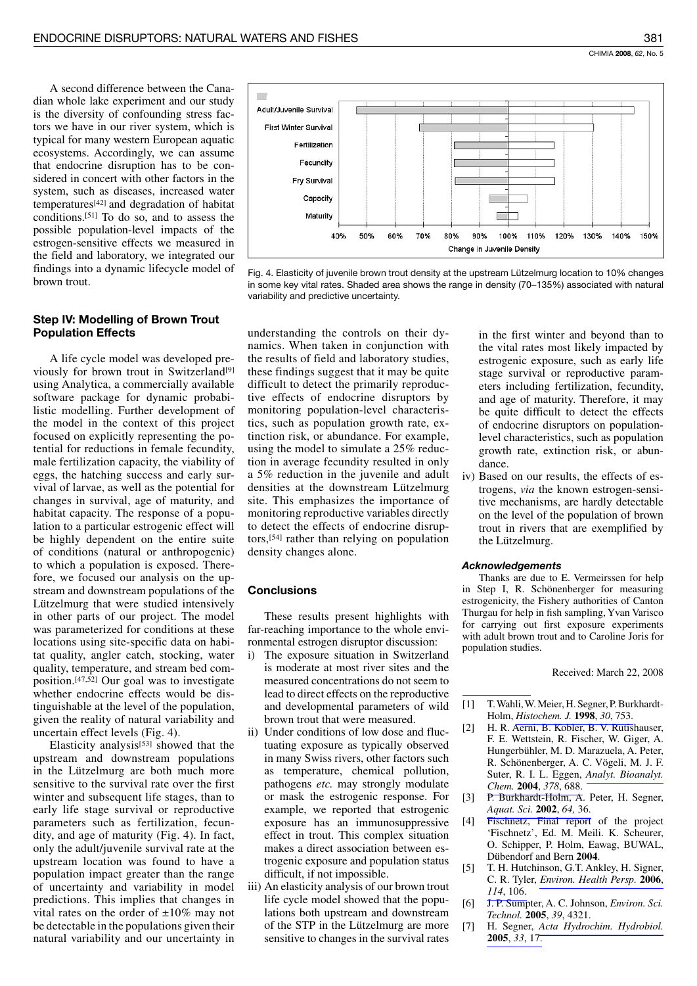A second difference between the Canadian whole lake experiment and our study is the diversity of confounding stress factors we have in our river system, which is typical for many western European aquatic ecosystems. Accordingly, we can assume that endocrine disruption has to be considered in concert with other factors in the system, such as diseases, increased water temperatures<sup>[42]</sup> and degradation of habitat conditions.<sup>[51]</sup> To do so, and to assess the possible population-level impacts of the estrogen-sensitive effects we measured in the field and laboratory, we integrated our findings into a dynamic lifecycle model of brown trout.

## **Step IV: Modelling of Brown Trout Population Effects**

A life cycle model was developed previously for brown trout in Switzerland<sup>[9]</sup> using Analytica, a commercially available software package for dynamic probabilistic modelling. Further development of the model in the context of this project focused on explicitly representing the potential for reductions in female fecundity, male fertilization capacity, the viability of eggs, the hatching success and early survival of larvae, as well as the potential for changes in survival, age of maturity, and habitat capacity. The response of a population to a particular estrogenic effect will be highly dependent on the entire suite of conditions (natural or anthropogenic) to which a population is exposed. Therefore, we focused our analysis on the upstream and downstream populations of the Lützelmurg that were studied intensively in other parts of our project. The model was parameterized for conditions at these locations using site-specific data on habitat quality, angler catch, stocking, water quality, temperature, and stream bed composition.<sup>[47,52]</sup> Our goal was to investigate whether endocrine effects would be distinguishable at the level of the population, given the reality of natural variability and uncertain effect levels (Fig. 4).

Elasticity analysis<sup>[53]</sup> showed that the upstream and downstream populations in the Lützelmurg are both much more sensitive to the survival rate over the first winter and subsequent life stages, than to early life stage survival or reproductive parameters such as fertilization, fecundity, and age of maturity (Fig. 4). In fact, only the adult/juvenile survival rate at the upstream location was found to have a population impact greater than the range of uncertainty and variability in model predictions. This implies that changes in vital rates on the order of  $\pm 10\%$  may not be detectable in the populations given their natural variability and our uncertainty in



Fig. 4. Elasticity of juvenile brown trout density at the upstream Lützelmurg location to 10% changes in some key vital rates. Shaded area shows the range in density (70-135%) associated with natural variability and predictive uncertainty.

understanding the controls on their dynamics. When taken in conjunction with the results of field and laboratory studies, these findings suggest that it may be quite difficult to detect the primarily reproductive effects of endocrine disruptors by monitoring population-level characteristics, such as population growth rate, extinction risk, or abundance. For example, using the model to simulate a 25% reduction in average fecundity resulted in only a 5% reduction in the juvenile and adult densities at the downstream Lützelmurg site. This emphasizes the importance of monitoring reproductive variables directly to detect the effects of endocrine disruptors,  $[54]$  rather than relying on population density changes alone.

#### **Conclusions**

These results present highlights with far-reaching importance to the whole environmental estrogen disruptor discussion:

- i) The exposure situation in Switzerland is moderate at most river sites and the measured concentrations do not seem to lead to direct effects on the reproductive and developmental parameters of wild brown trout that were measured.
- ii) Under conditions of low dose and fluctuating exposure as typically observed in many Swiss rivers, other factors such as temperature, chemical pollution, pathogens etc. may strongly modulate or mask the estrogenic response. For example, we reported that estrogenic exposure has an immunosuppressive effect in trout. This complex situation makes a direct association between estrogenic exposure and population status difficult, if not impossible.
- iii) An elasticity analysis of our brown trout life cycle model showed that the populations both upstream and downstream of the STP in the Lützelmurg are more sensitive to changes in the survival rates

in the first winter and beyond than to the vital rates most likely impacted by estrogenic exposure, such as early life stage survival or reproductive parameters including fertilization, fecundity, and age of maturity. Therefore, it may be quite difficult to detect the effects of endocrine disruptors on populationlevel characteristics, such as population growth rate, extinction risk, or abundance.

iv) Based on our results, the effects of estrogens, via the known estrogen-sensitive mechanisms, are hardly detectable on the level of the population of brown trout in rivers that are exemplified by the Lützelmurg.

#### **Acknowledgements**

Thanks are due to E. Vermeirssen for help in Step I, R. Schönenberger for measuring estrogenicity, the Fishery authorities of Canton Thurgau for help in fish sampling, Yvan Varisco for carrying out first exposure experiments with adult brown trout and to Caroline Joris for population studies.

Received: March 22, 2008

- T. Wahli, W. Meier, H. Segner, P. Burkhardt- $[1]$ Holm, Histochem. J. 1998, 30, 753.
- $\lceil 2 \rceil$ H. R. Aerni, B. Kobler, B. V. Rutishauser, F. E. Wettstein, R. Fischer, W. Giger, A. Hungerbühler, M. D. Marazuela, A. Peter, R. Schönenberger, A. C. Vögeli, M. J. F. Suter, R. I. L. Eggen, Analyt. Bioanalyt. Chem. 2004, 378, 688.
- $\lceil 3 \rceil$ P. Burkhardt-Holm, A. Peter, H. Segner, Aquat. Sci. 2002, 64, 36.
- $[4]$ Fischnetz, Final report of the project 'Fischnetz', Ed. M. Meili. K. Scheurer, O. Schipper, P. Holm, Eawag, BUWAL, Dübendorf and Bern 2004.
- $\lceil 5 \rceil$ T. H. Hutchinson, G.T. Ankley, H. Signer, C. R. Tyler, Environ. Health Persp. 2006, 114, 106.
- $[6]$ J. P. Sumpter, A. C. Johnson, Environ. Sci. Technol. 2005, 39, 4321.
- H. Segner, Acta Hydrochim. Hydrobiol.  $[7]$  $2005, 33, 17.$